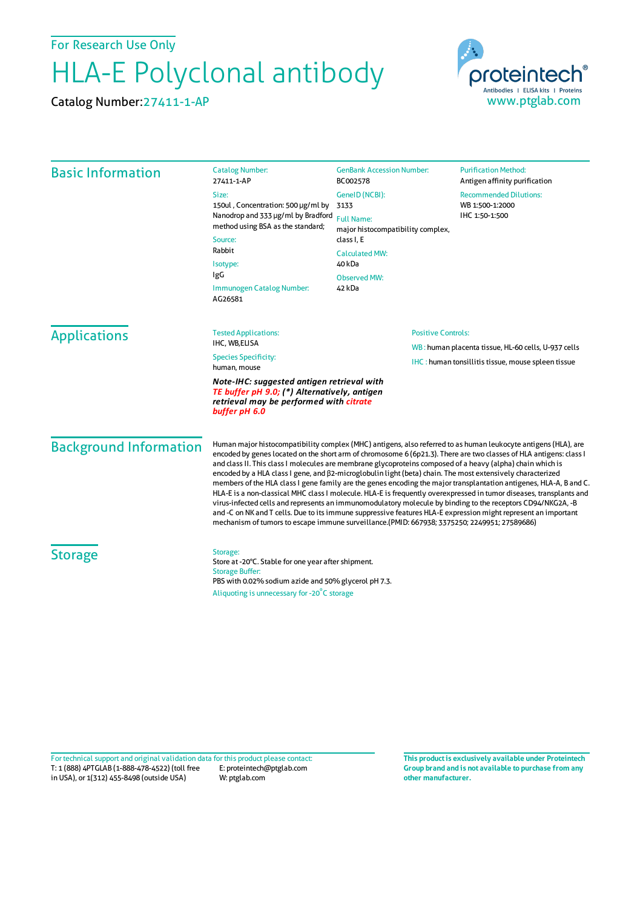For Research Use Only

## HLA-E Polyclonal antibody

Catalog Number:27411-1-AP



| <b>Basic Information</b>                                                                                                                               | <b>Catalog Number:</b><br>27411-1-AP                                                                                                                                                                                                                                                                                                                                                                                                                                                                                                                                                                                                                                                                                                                                                                                                                                                                                                                                                                                                                  | <b>GenBank Accession Number:</b><br>BC002578                                     | <b>Purification Method:</b><br>Antigen affinity purification       |                                 |  |                                                     |  |
|--------------------------------------------------------------------------------------------------------------------------------------------------------|-------------------------------------------------------------------------------------------------------------------------------------------------------------------------------------------------------------------------------------------------------------------------------------------------------------------------------------------------------------------------------------------------------------------------------------------------------------------------------------------------------------------------------------------------------------------------------------------------------------------------------------------------------------------------------------------------------------------------------------------------------------------------------------------------------------------------------------------------------------------------------------------------------------------------------------------------------------------------------------------------------------------------------------------------------|----------------------------------------------------------------------------------|--------------------------------------------------------------------|---------------------------------|--|-----------------------------------------------------|--|
|                                                                                                                                                        | Size:<br>150ul, Concentration: 500 µg/ml by<br>Nanodrop and 333 µg/ml by Bradford<br>method using BSA as the standard;<br>Source:<br>Rabbit<br>Isotype:<br>IgG<br>Immunogen Catalog Number:<br>AG26581                                                                                                                                                                                                                                                                                                                                                                                                                                                                                                                                                                                                                                                                                                                                                                                                                                                | GenelD (NCBI):<br>3133<br><b>Full Name:</b><br>major histocompatibility complex, | <b>Recommended Dilutions:</b><br>WB 1:500-1:2000<br>IHC 1:50-1:500 |                                 |  |                                                     |  |
|                                                                                                                                                        |                                                                                                                                                                                                                                                                                                                                                                                                                                                                                                                                                                                                                                                                                                                                                                                                                                                                                                                                                                                                                                                       |                                                                                  |                                                                    | class I, E                      |  |                                                     |  |
|                                                                                                                                                        |                                                                                                                                                                                                                                                                                                                                                                                                                                                                                                                                                                                                                                                                                                                                                                                                                                                                                                                                                                                                                                                       |                                                                                  |                                                                    | <b>Calculated MW:</b><br>40 kDa |  |                                                     |  |
|                                                                                                                                                        |                                                                                                                                                                                                                                                                                                                                                                                                                                                                                                                                                                                                                                                                                                                                                                                                                                                                                                                                                                                                                                                       | <b>Observed MW:</b>                                                              |                                                                    |                                 |  |                                                     |  |
|                                                                                                                                                        |                                                                                                                                                                                                                                                                                                                                                                                                                                                                                                                                                                                                                                                                                                                                                                                                                                                                                                                                                                                                                                                       | 42 kDa                                                                           |                                                                    |                                 |  |                                                     |  |
|                                                                                                                                                        |                                                                                                                                                                                                                                                                                                                                                                                                                                                                                                                                                                                                                                                                                                                                                                                                                                                                                                                                                                                                                                                       | <b>Applications</b>                                                              |                                                                    | <b>Tested Applications:</b>     |  | <b>Positive Controls:</b>                           |  |
|                                                                                                                                                        |                                                                                                                                                                                                                                                                                                                                                                                                                                                                                                                                                                                                                                                                                                                                                                                                                                                                                                                                                                                                                                                       |                                                                                  |                                                                    | IHC, WB,ELISA                   |  | WB: human placenta tissue, HL-60 cells, U-937 cells |  |
| <b>Species Specificity:</b><br>human, mouse                                                                                                            | <b>IHC</b> : human tonsillitis tissue, mouse spleen tissue                                                                                                                                                                                                                                                                                                                                                                                                                                                                                                                                                                                                                                                                                                                                                                                                                                                                                                                                                                                            |                                                                                  |                                                                    |                                 |  |                                                     |  |
| Note-IHC: suggested antigen retrieval with<br>TE buffer pH 9.0; (*) Alternatively, antigen<br>retrieval may be performed with citrate<br>buffer pH 6.0 |                                                                                                                                                                                                                                                                                                                                                                                                                                                                                                                                                                                                                                                                                                                                                                                                                                                                                                                                                                                                                                                       |                                                                                  |                                                                    |                                 |  |                                                     |  |
| <b>Background Information</b>                                                                                                                          | Human major histocompatibility complex (MHC) antigens, also referred to as human leukocyte antigens (HLA), are<br>encoded by genes located on the short arm of chromosome 6 (6p21.3). There are two classes of HLA antigens: class I<br>and class II. This class I molecules are membrane glycoproteins composed of a heavy (alpha) chain which is<br>encoded by a HLA class I gene, and $\beta$ 2-microglobulin light (beta) chain. The most extensively characterized<br>members of the HLA class I gene family are the genes encoding the major transplantation antigenes, HLA-A, B and C.<br>HLA-E is a non-classical MHC class I molecule. HLA-E is frequently overexpressed in tumor diseases, transplants and<br>virus-infected cells and represents an immunomodulatory molecule by binding to the receptors CD94/NKG2A, -B<br>and -C on NK and T cells. Due to its immune suppressive features HLA-E expression might represent an important<br>mechanism of tumors to escape immune surveillance.(PMID: 667938; 3375250; 2249951; 27589686) |                                                                                  |                                                                    |                                 |  |                                                     |  |
| <b>Storage</b>                                                                                                                                         | Storage:<br>Store at -20°C. Stable for one year after shipment.<br><b>Storage Buffer:</b><br>PBS with 0.02% sodium azide and 50% glycerol pH 7.3.<br>Aliquoting is unnecessary for -20°C storage                                                                                                                                                                                                                                                                                                                                                                                                                                                                                                                                                                                                                                                                                                                                                                                                                                                      |                                                                                  |                                                                    |                                 |  |                                                     |  |

T: 1 (888) 4PTGLAB (1-888-478-4522) (toll free in USA), or 1(312) 455-8498 (outside USA) E: proteintech@ptglab.com W: ptglab.com Fortechnical support and original validation data forthis product please contact: **This productis exclusively available under Proteintech**

**Group brand and is not available to purchase from any other manufacturer.**